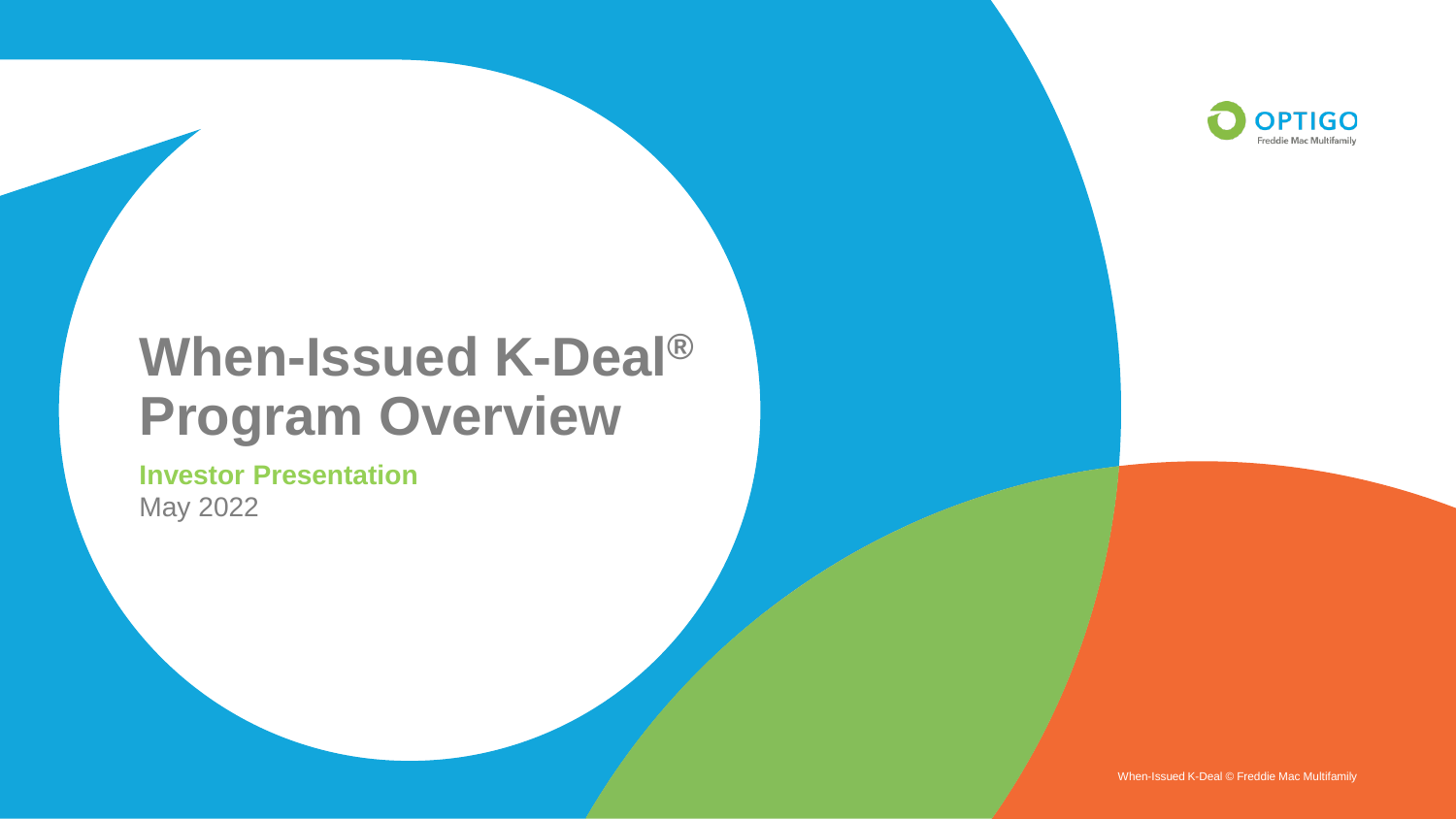

# **When-Issued K-Deal® Program Overview**

**Investor Presentation** May 2022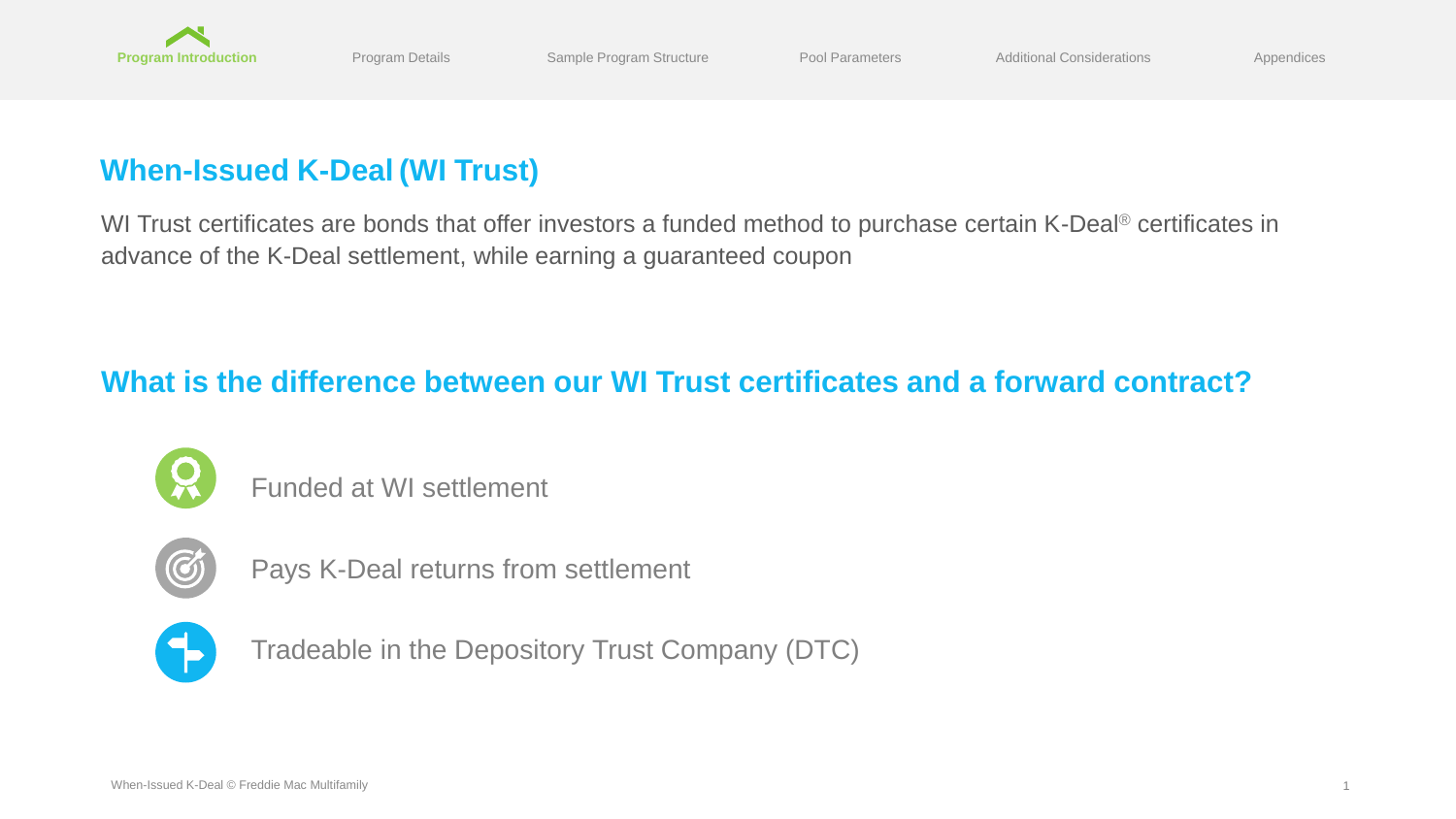<span id="page-1-0"></span>

# **When-Issued K-Deal (WI Trust)**

WI Trust certificates are bonds that offer investors a funded method to purchase certain K-Deal<sup>®</sup> certificates in advance of the K-Deal settlement, while earning a guaranteed coupon

# **What is the difference between our WI Trust certificates and a forward contract?**



Funded at WI settlement



Pays K-Deal returns from settlement



Tradeable in the Depository Trust Company (DTC)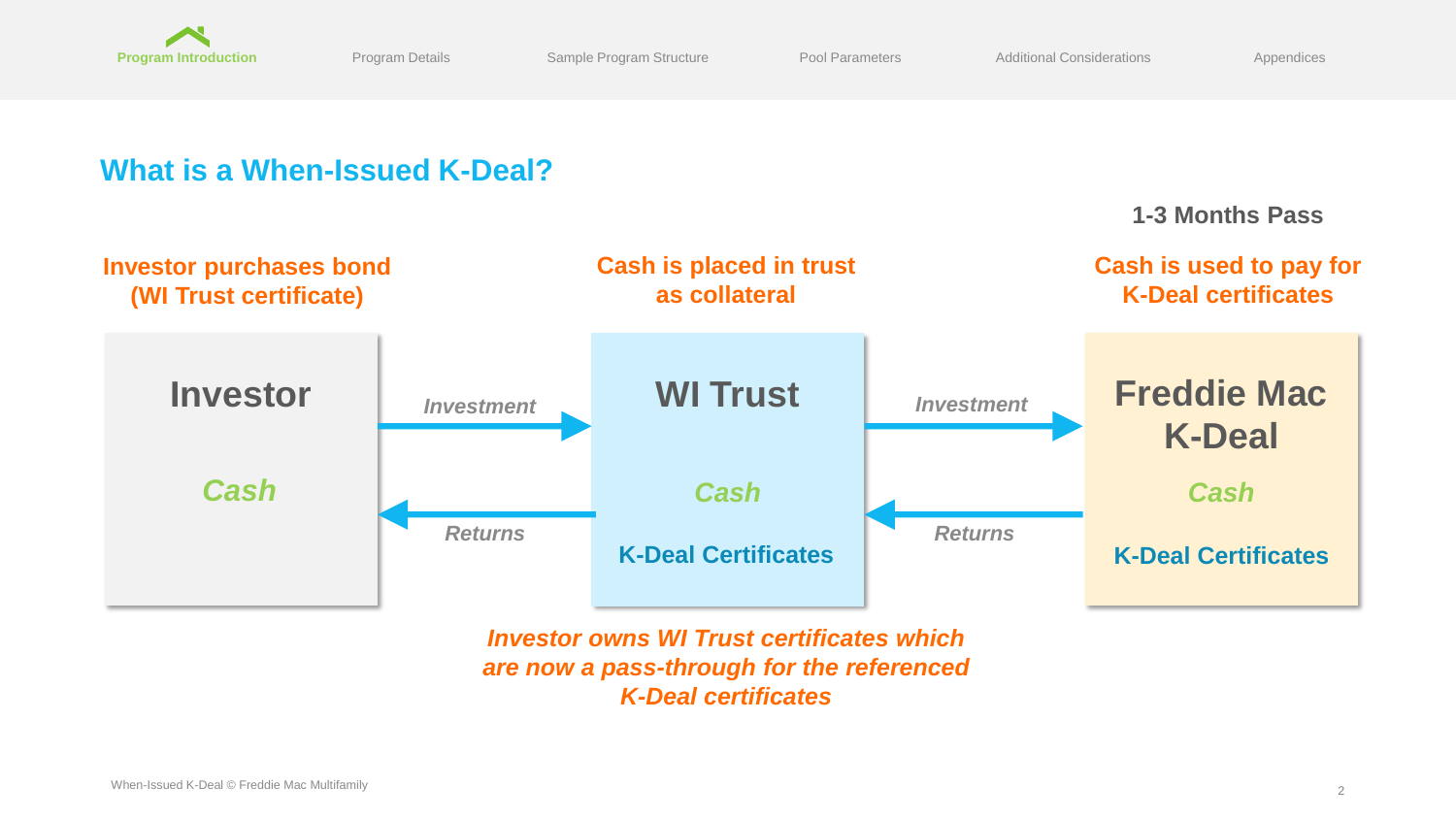

[Additional Considerations](#page-7-0)

### **What is a When-Issued K-Deal? Investor WI Trust** *Cash* **Freddie Mac K-Deal** *Cash* **K-Deal Certificates K-Deal Certificates** *Cash* **1-3 Months Pass Investor purchases bond (WI Trust certificate) Cash is placed in trust as collateral Cash is used to pay for K-Deal certificates** *Returns Investment Investment Returns*

*Investor owns WI Trust certificates which are now a pass-through for the referenced K-Deal certificates*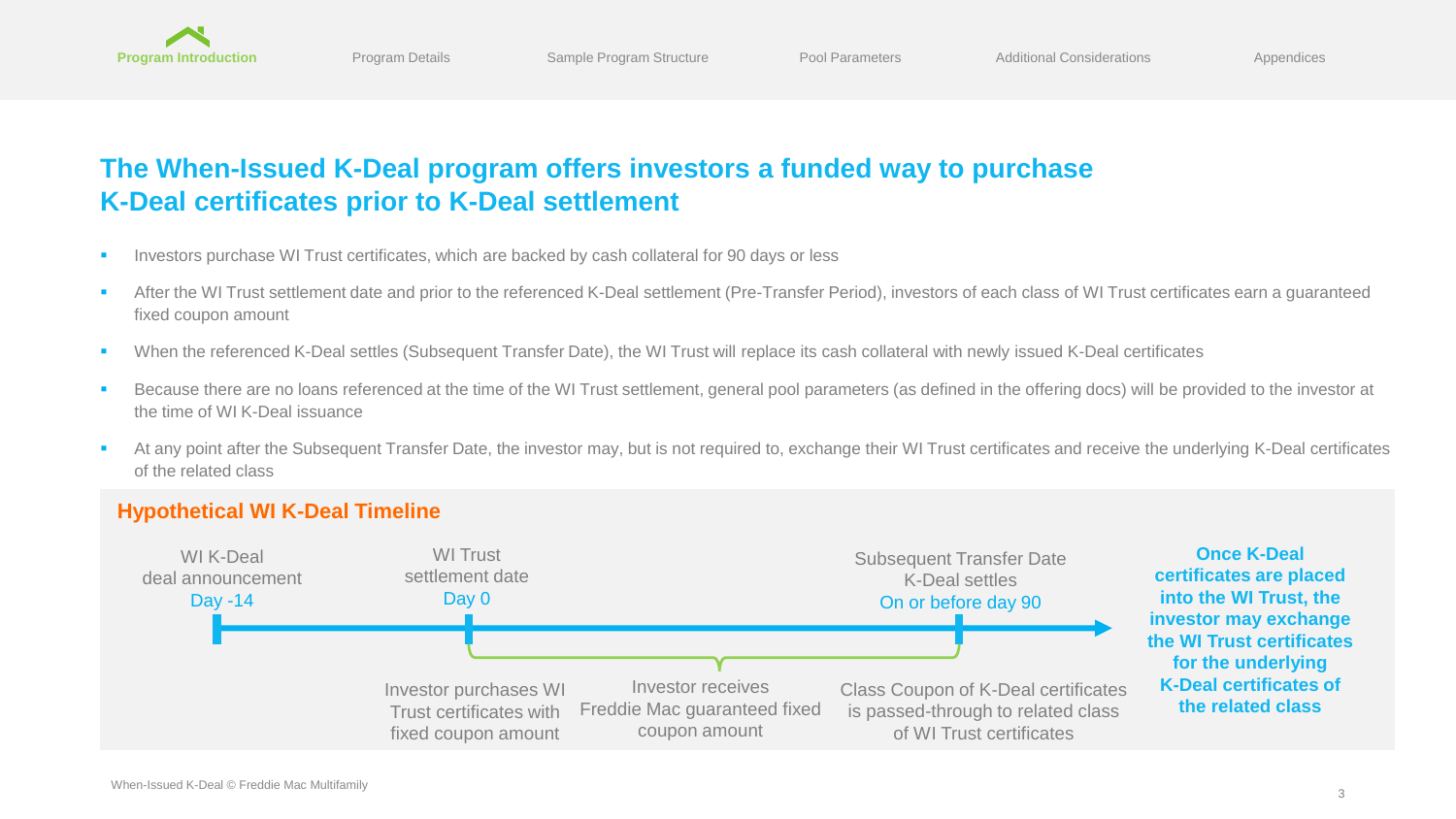

# **The When-Issued K-Deal program offers investors a funded way to purchase K-Deal certificates prior to K-Deal settlement**

- Investors purchase WI Trust certificates, which are backed by cash collateral for 90 days or less
- After the WI Trust settlement date and prior to the referenced K-Deal settlement (Pre-Transfer Period), investors of each class of WI Trust certificates earn a quaranteed fixed coupon amount
- When the referenced K-Deal settles (Subsequent Transfer Date), the WI Trust will replace its cash collateral with newly issued K-Deal certificates
- Because there are no loans referenced at the time of the WI Trust settlement, general pool parameters (as defined in the offering docs) will be provided to the investor at the time of WI K-Deal issuance
- At any point after the Subsequent Transfer Date, the investor may, but is not required to, exchange their WI Trust certificates and receive the underlying K-Deal certificates of the related class

### **Hypothetical WI K-Deal Timeline**

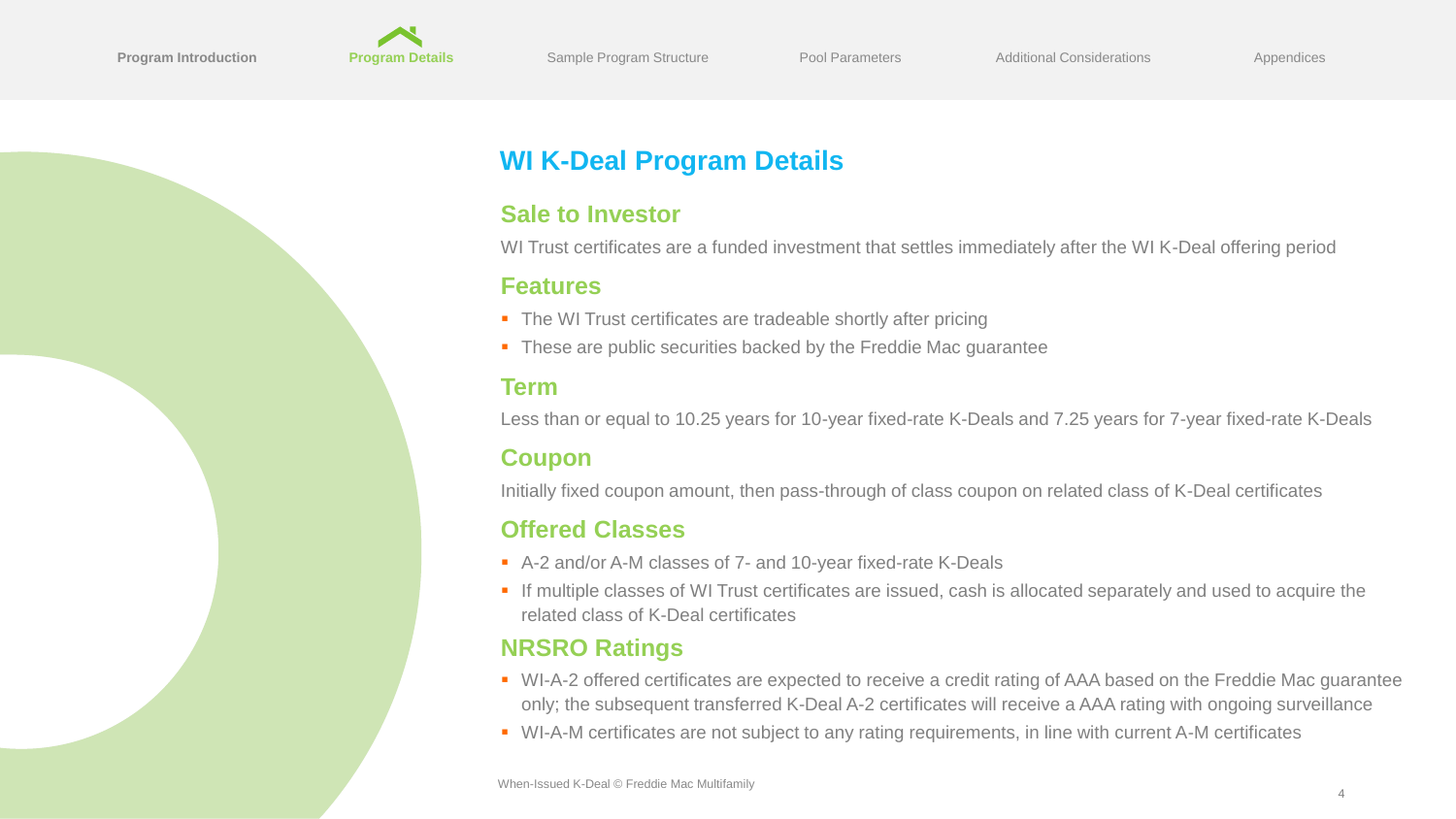<span id="page-4-0"></span>

# **WI K-Deal Program Details**

### **Sale to Investor**

WI Trust certificates are a funded investment that settles immediately after the WI K-Deal offering period

### **Features**

- The WI Trust certificates are tradeable shortly after pricing
- These are public securities backed by the Freddie Mac quarantee

### **Term**

Less than or equal to 10.25 years for 10-year fixed-rate K-Deals and 7.25 years for 7-year fixed-rate K-Deals

### **Coupon**

Initially fixed coupon amount, then pass-through of class coupon on related class of K-Deal certificates

### **Offered Classes**

- A-2 and/or A-M classes of 7- and 10-year fixed-rate K-Deals
- If multiple classes of WI Trust certificates are issued, cash is allocated separately and used to acquire the related class of K-Deal certificates

### **NRSRO Ratings**

- WI-A-2 offered certificates are expected to receive a credit rating of AAA based on the Freddie Mac guarantee only; the subsequent transferred K-Deal A-2 certificates will receive a AAA rating with ongoing surveillance
- WI-A-M certificates are not subject to any rating requirements, in line with current A-M certificates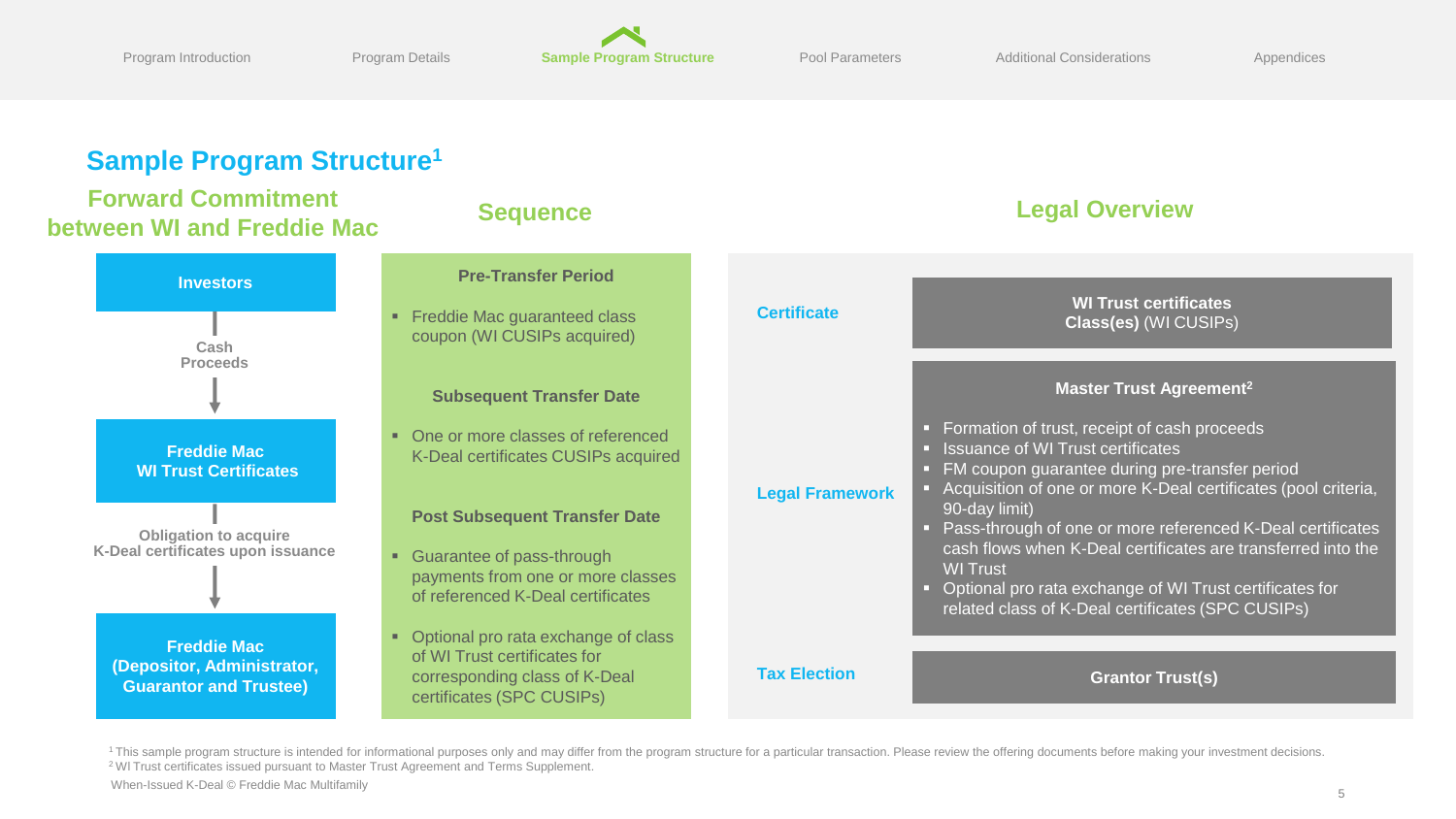<span id="page-5-0"></span>

### **Sample Program Structure<sup>1</sup>**

# **Forward Commitment**

# **Freddie Mac (Depositor, Administrator, Freddie Mac WI Trust Certificates Investors Cash Proceeds Obligation to acquire K-Deal certificates upon issuance**

- **Pre-Transfer Period**
- **Example 2** Freddie Mac quaranteed class coupon (WI CUSIPs acquired)

**Subsequent Transfer Date** 

■ One or more classes of referenced K-Deal certificates CUSIPs acquired

**Post Subsequent Transfer Date**

- Guarantee of pass-through payments from one or more classes of referenced K-Deal certificates
- Optional pro rata exchange of class of WI Trust certificates for corresponding class of K-Deal certificates (SPC CUSIPs)



<sup>&</sup>lt;sup>1</sup> This sample program structure is intended for informational purposes only and may differ from the program structure for a particular transaction. Please review the offering documents before making your investment decis <sup>2</sup> Wl Trust certificates issued pursuant to Master Trust Agreement and Terms Supplement.

When-Issued K-Deal © Freddie Mac Multifamily

**Guarantor and Trustee)**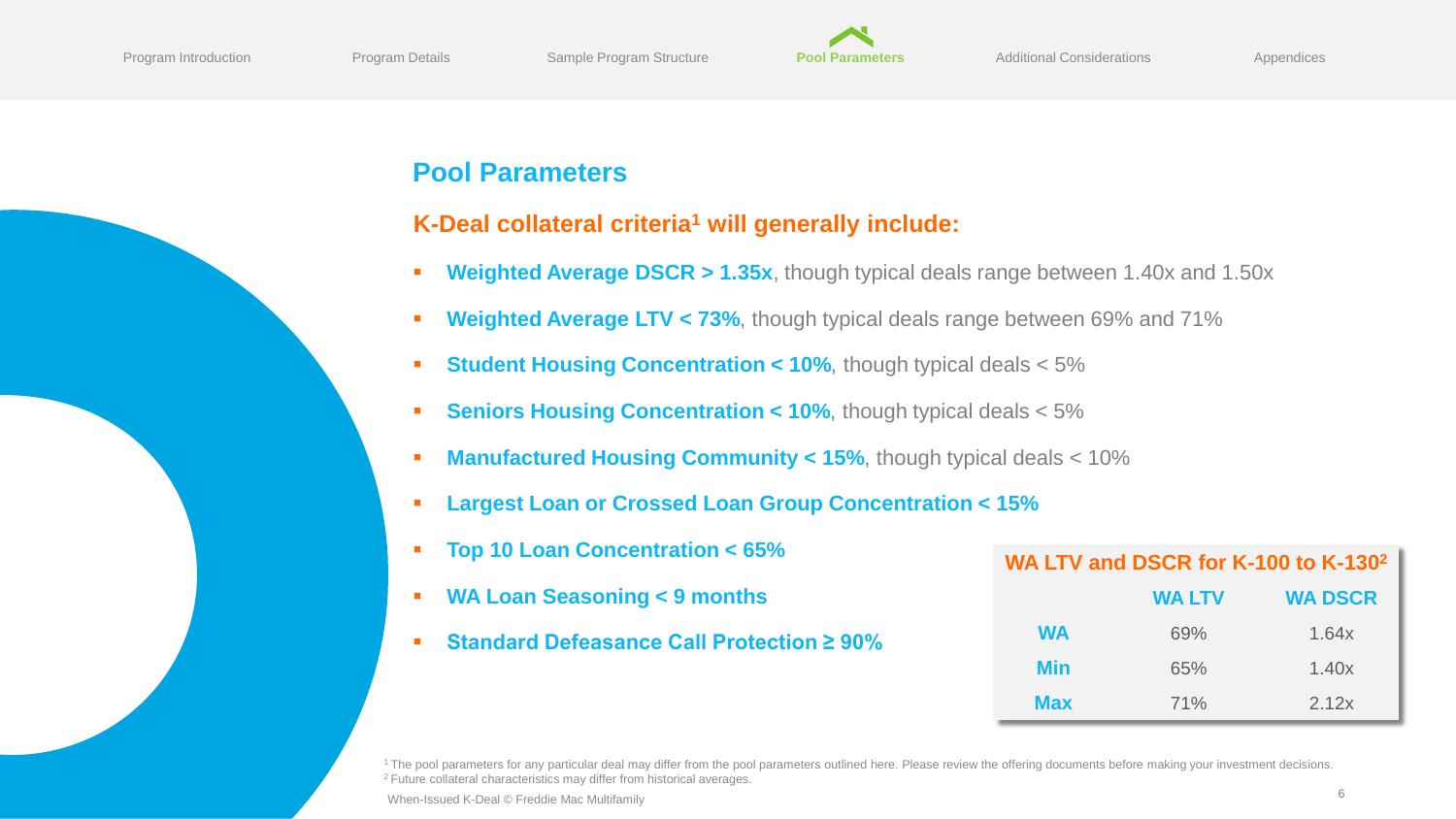

# <span id="page-6-0"></span>**Pool Parameters**

### **K-Deal collateral criteria<sup>1</sup> will generally include:**

- **Weighted Average DSCR > 1.35x**, though typical deals range between 1.40x and 1.50x
- **EXPEDENTIFY Weighted Average LTV < 73%**, though typical deals range between 69% and 71%
- **Example 10%** Student Housing Concentration < 10%, though typical deals < 5%
- **Example 10%**, though typical deals < 5%
- **EXECUTED Manufactured Housing Community < 15%**, though typical deals < 10%
- **Largest Loan or Crossed Loan Group Concentration < 15%**
- **Top 10 Loan Concentration < 65%**
- **WA Loan Seasoning < 9 months**
- **Standard Defeasance Call Protection ≥ 90%**

| WA LTV and DSCR for K-100 to K-130 <sup>2</sup> |               |                |  |  |
|-------------------------------------------------|---------------|----------------|--|--|
|                                                 | <b>WA LTV</b> | <b>WA DSCR</b> |  |  |
| <b>WA</b>                                       | 69%           | 1.64x          |  |  |
| Min                                             | 65%           | 1.40x          |  |  |
| <b>Max</b>                                      | 71%           | 2.12x          |  |  |

<sup>1</sup> The pool parameters for any particular deal may differ from the pool parameters outlined here. Please review the offering documents before making your investment decisions. <sup>2</sup> Future collateral characteristics may differ from historical averages.

<sup>6</sup> When-Issued K-Deal © Freddie Mac Multifamily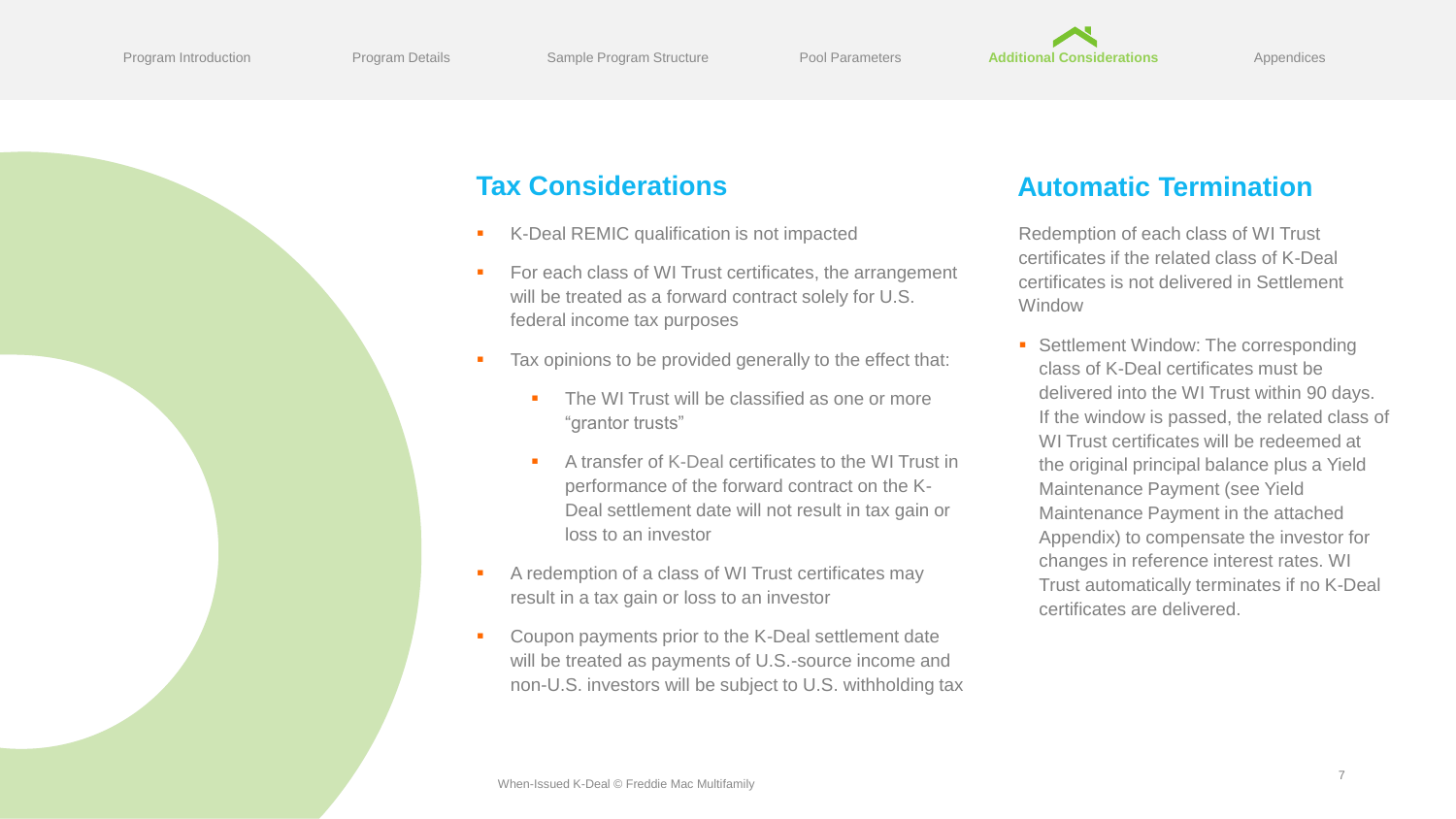<span id="page-7-0"></span>

# **Tax Considerations**

- K-Deal REMIC qualification is not impacted
- For each class of WI Trust certificates, the arrangement will be treated as a forward contract solely for U.S. federal income tax purposes
- Tax opinions to be provided generally to the effect that:
	- The WI Trust will be classified as one or more "grantor trusts"
	- A transfer of K-Deal certificates to the WI Trust in performance of the forward contract on the K-Deal settlement date will not result in tax gain or loss to an investor
- A redemption of a class of WI Trust certificates may result in a tax gain or loss to an investor
- Coupon payments prior to the K-Deal settlement date will be treated as payments of U.S.-source income and non-U.S. investors will be subject to U.S. withholding tax

# **Automatic Termination**

Redemption of each class of WI Trust certificates if the related class of K-Deal certificates is not delivered in Settlement Window

■ Settlement Window: The corresponding class of K-Deal certificates must be delivered into the WI Trust within 90 days. If the window is passed, the related class of WI Trust certificates will be redeemed at the original principal balance plus a Yield Maintenance Payment (see Yield Maintenance Payment in the attached Appendix) to compensate the investor for changes in reference interest rates. WI Trust automatically terminates if no K-Deal certificates are delivered.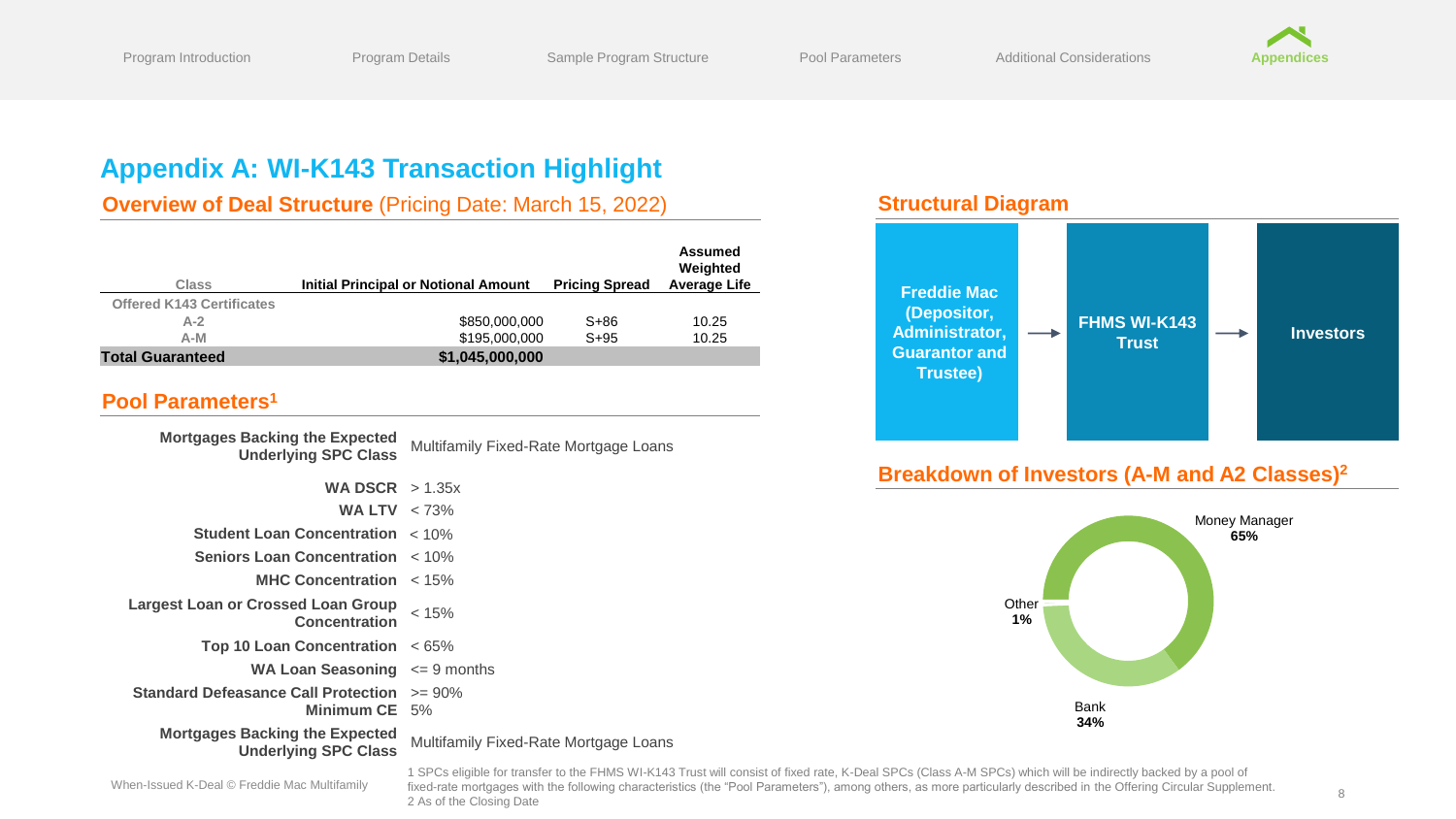

# <span id="page-8-0"></span>**Appendix A: WI-K143 Transaction Highlight**

**Overview of Deal Structure** (Pricing Date: March 15, 2022)

| <b>Class</b>                     | <b>Initial Principal or Notional Amount</b> | <b>Pricing Spread</b> | Assumed<br>Weighted<br><b>Average Life</b> |
|----------------------------------|---------------------------------------------|-----------------------|--------------------------------------------|
| <b>Offered K143 Certificates</b> |                                             |                       |                                            |
| $A-2$                            | \$850,000,000                               | $S + 86$              | 10.25                                      |
| $A-M$                            | \$195,000,000                               | $S + 95$              | 10.25                                      |
| <b>Total Guaranteed</b>          | \$1,045,000,000                             |                       |                                            |

#### **Pool Parameters<sup>1</sup>**

| <b>Mortgages Backing the Expected</b><br><b>Underlying SPC Class</b>    | Multifamily Fixed-Rate Mortgage Loans |
|-------------------------------------------------------------------------|---------------------------------------|
| <b>WA DSCR</b> $> 1.35x$                                                |                                       |
| WA LTV $< 73\%$                                                         |                                       |
| <b>Student Loan Concentration &lt; 10%</b>                              |                                       |
| <b>Seniors Loan Concentration</b> $\lt$ 10%                             |                                       |
| <b>MHC Concentration</b> $\lt$ 15%                                      |                                       |
| <b>Largest Loan or Crossed Loan Group</b><br><b>Concentration</b>       | < 15%                                 |
| Top 10 Loan Concentration $\leq 65\%$                                   |                                       |
| <b>WA Loan Seasoning</b> $\leq 9$ months                                |                                       |
| <b>Standard Defeasance Call Protection</b> >= 90%<br>Minimum $CE = 5\%$ |                                       |
| <b>Mortgages Backing the Expected</b><br><b>Underlying SPC Class</b>    | Multifamily Fixed-Rate Mortgage Loans |

### **Structural Diagram**



### **Breakdown of Investors (A-M and A2 Classes)<sup>2</sup>**



1 SPCs eligible for transfer to the FHMS WI-K143 Trust will consist of fixed rate, K-Deal SPCs (Class A-M SPCs) which will be indirectly backed by a pool of fixed-rate mortgages with the following characteristics (the "Pool Parameters"), among others, as more particularly described in the Offering Circular Supplement. 2 As of the Closing Date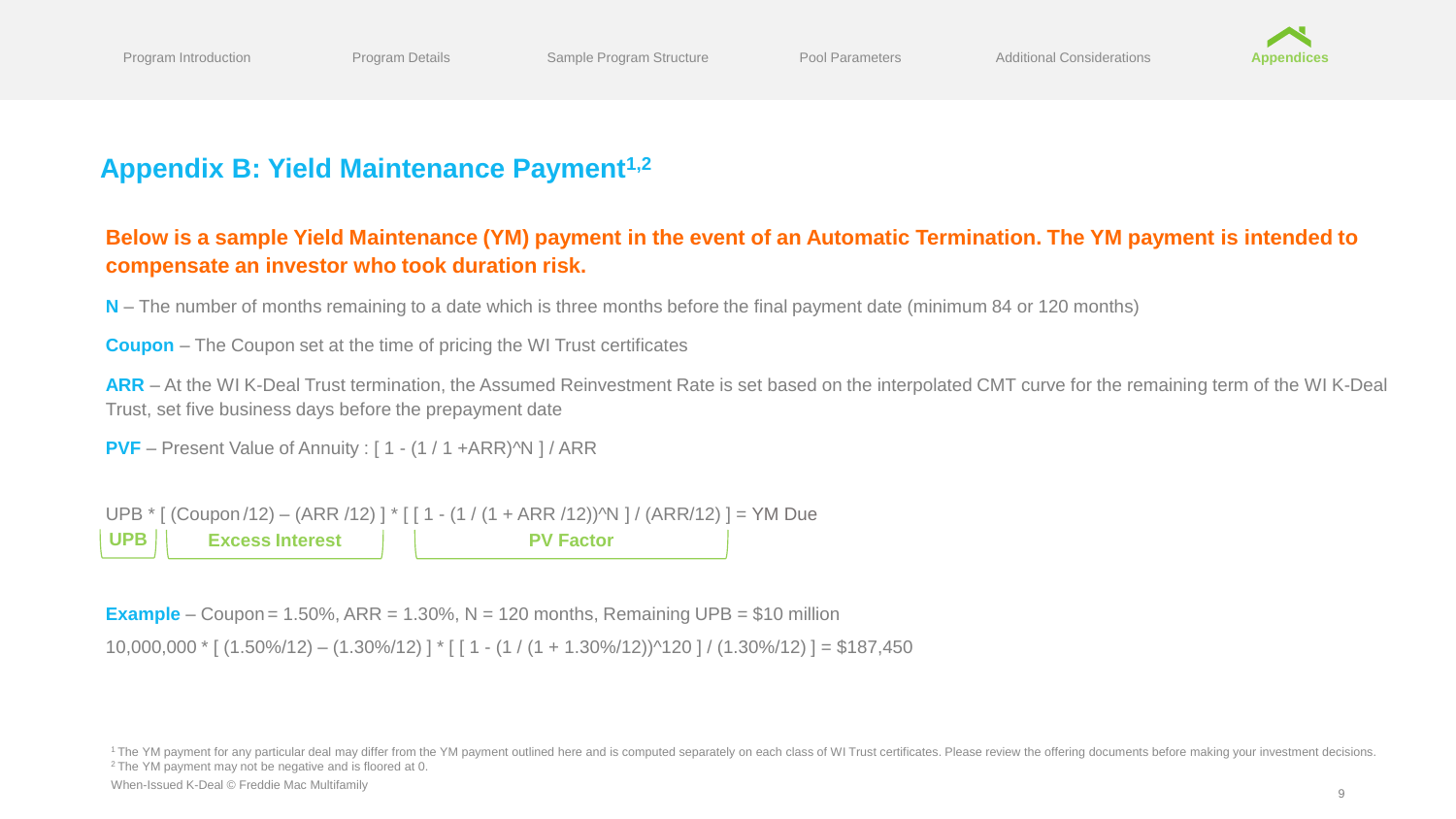

# **Appendix B: Yield Maintenance Payment1,2**

### **Below is a sample Yield Maintenance (YM) payment in the event of an Automatic Termination. The YM payment is intended to compensate an investor who took duration risk.**

**N** – The number of months remaining to a date which is three months before the final payment date (minimum 84 or 120 months)

**Coupon** – The Coupon set at the time of pricing the WI Trust certificates

**ARR** – At the WI K-Deal Trust termination, the Assumed Reinvestment Rate is set based on the interpolated CMT curve for the remaining term of the WI K-Deal Trust, set five business days before the prepayment date

**PVF** – Present Value of Annuity : [1 - (1 / 1 +ARR)<sup>^N</sup> ] / ARR

UPB \* [ (Coupon /12) – (ARR /12) ] \* [ [ 1 - (1 / (1 + ARR /12))^N ] / (ARR/12) ] = YM Due **UPB Excess Interest PV Factor**

**Example** – Coupon =  $1.50\%$ , ARR =  $1.30\%$ , N =  $120$  months, Remaining UPB = \$10 million

10,000,000 \* [ (1.50%/12) – (1.30%/12) ] \* [ [ 1 - (1 / (1 + 1.30%/12))^120 ] / (1.30%/12) ] = \$187,450

<sup>1</sup> The YM payment for any particular deal may differ from the YM payment outlined here and is computed separately on each class of WI Trust certificates. Please review the offering documents before making your investment <sup>2</sup> The YM payment may not be negative and is floored at 0.

When-Issued K-Deal © Freddie Mac Multifamily